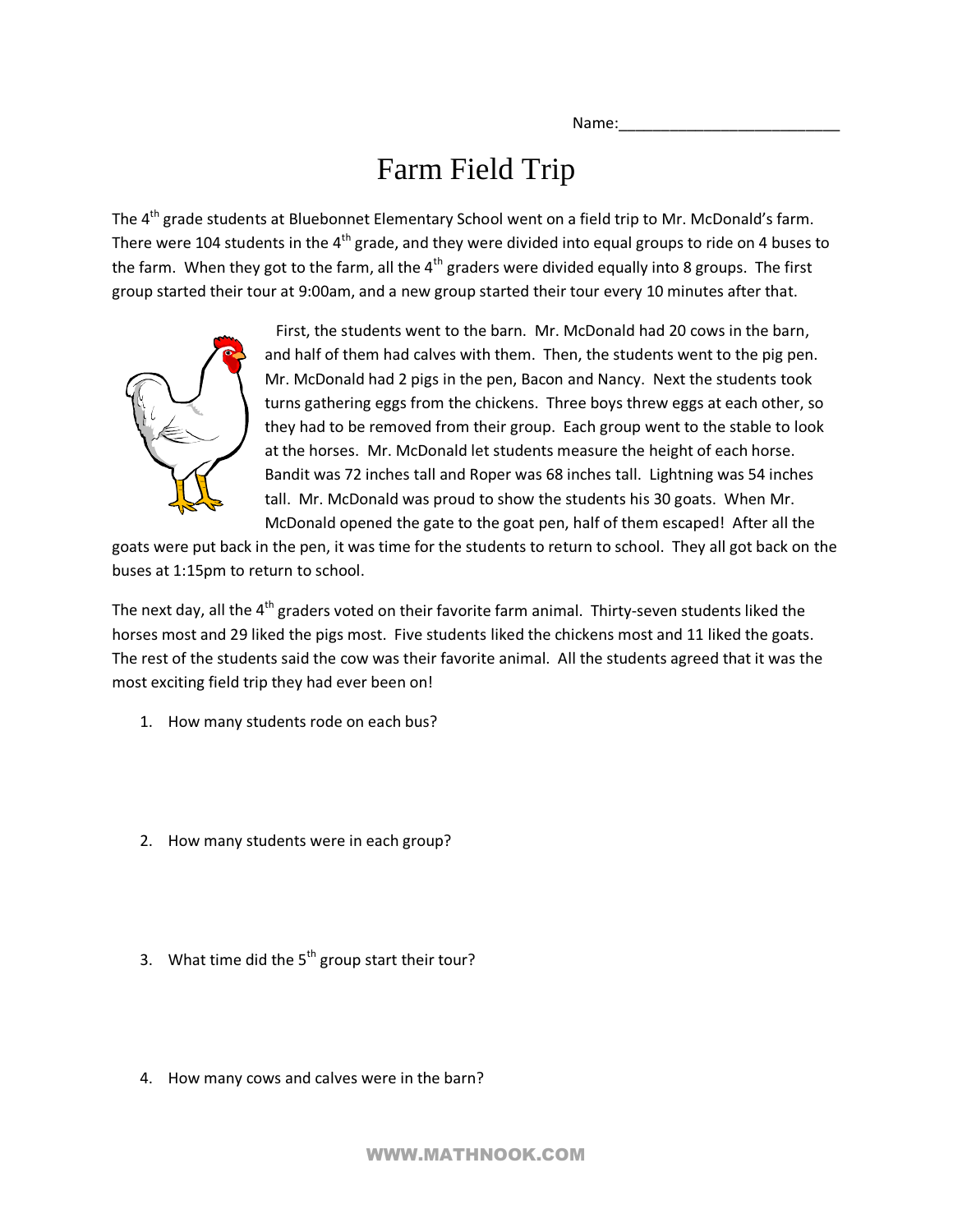Name:

## Farm Field Trip

The 4<sup>th</sup> grade students at Bluebonnet Elementary School went on a field trip to Mr. McDonald's farm. There were 104 students in the  $4<sup>th</sup>$  grade, and they were divided into equal groups to ride on 4 buses to the farm. When they got to the farm, all the  $4<sup>th</sup>$  graders were divided equally into 8 groups. The first group started their tour at 9:00am, and a new group started their tour every 10 minutes after that.



 First, the students went to the barn. Mr. McDonald had 20 cows in the barn, and half of them had calves with them. Then, the students went to the pig pen. Mr. McDonald had 2 pigs in the pen, Bacon and Nancy. Next the students took turns gathering eggs from the chickens. Three boys threw eggs at each other, so they had to be removed from their group. Each group went to the stable to look at the horses. Mr. McDonald let students measure the height of each horse. Bandit was 72 inches tall and Roper was 68 inches tall. Lightning was 54 inches tall. Mr. McDonald was proud to show the students his 30 goats. When Mr. McDonald opened the gate to the goat pen, half of them escaped! After all the

goats were put back in the pen, it was time for the students to return to school. They all got back on the buses at 1:15pm to return to school.

The next day, all the  $4<sup>th</sup>$  graders voted on their favorite farm animal. Thirty-seven students liked the horses most and 29 liked the pigs most. Five students liked the chickens most and 11 liked the goats. The rest of the students said the cow was their favorite animal. All the students agreed that it was the most exciting field trip they had ever been on!

- 1. How many students rode on each bus?
- 2. How many students were in each group?
- 3. What time did the  $5<sup>th</sup>$  group start their tour?
- 4. How many cows and calves were in the barn?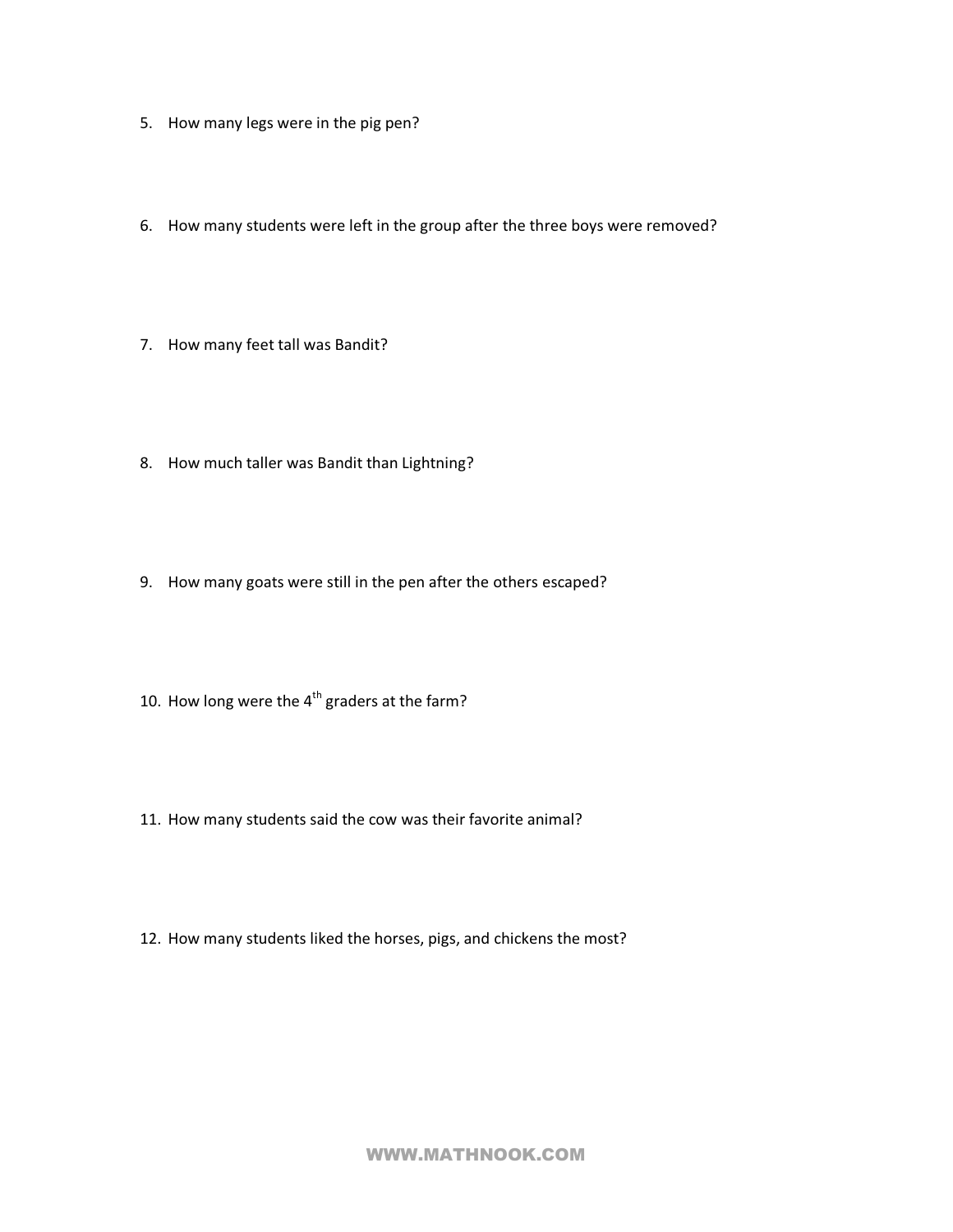- 5. How many legs were in the pig pen?
- 6. How many students were left in the group after the three boys were removed?
- 7. How many feet tall was Bandit?
- 8. How much taller was Bandit than Lightning?
- 9. How many goats were still in the pen after the others escaped?
- 10. How long were the  $4^{th}$  graders at the farm?
- 11. How many students said the cow was their favorite animal?
- 12. How many students liked the horses, pigs, and chickens the most?